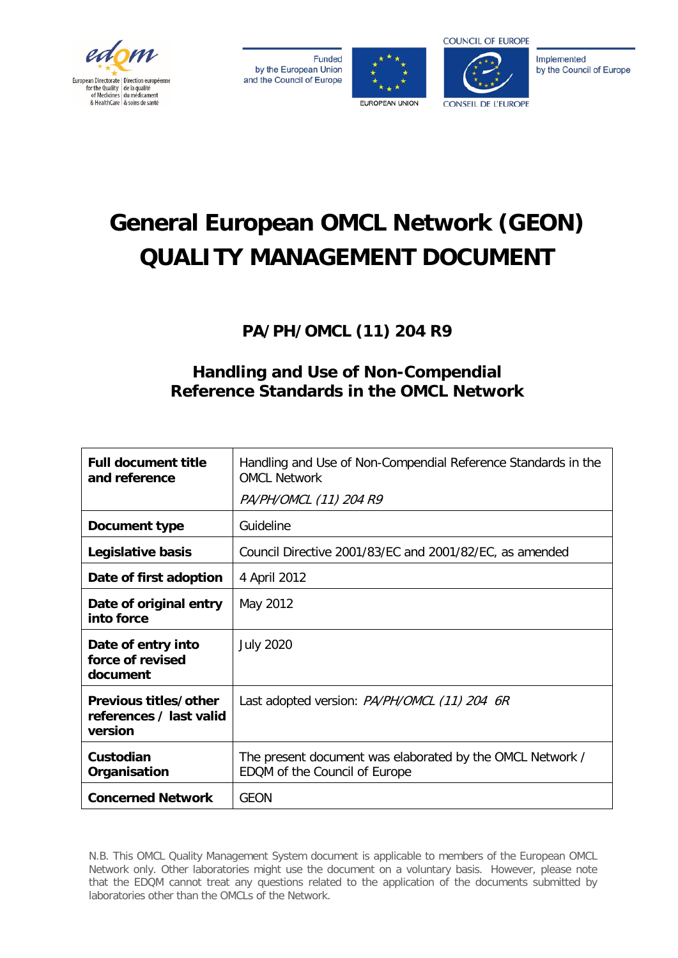

**Funded** by the European Union and the Council of Europe





Implemented by the Council of Europe

# **General European OMCL Network (GEON) QUALITY MANAGEMENT DOCUMENT**

## **PA/PH/OMCL (11) 204 R9**

### **Handling and Use of Non-Compendial Reference Standards in the OMCL Network**

| <b>Full document title</b><br>and reference                 | Handling and Use of Non-Compendial Reference Standards in the<br><b>OMCL Network</b>       |  |
|-------------------------------------------------------------|--------------------------------------------------------------------------------------------|--|
|                                                             | PA/PH/OMCL (11) 204 R9                                                                     |  |
| Document type                                               | Guideline                                                                                  |  |
| Legislative basis                                           | Council Directive 2001/83/EC and 2001/82/EC, as amended                                    |  |
| Date of first adoption                                      | 4 April 2012                                                                               |  |
| Date of original entry<br>into force                        | May 2012                                                                                   |  |
| Date of entry into<br>force of revised<br>document          | <b>July 2020</b>                                                                           |  |
| Previous titles/other<br>references / last valid<br>version | Last adopted version: PA/PH/OMCL (11) 204 6R                                               |  |
| Custodian<br>Organisation                                   | The present document was elaborated by the OMCL Network /<br>EDQM of the Council of Europe |  |
| <b>Concerned Network</b>                                    | <b>GEON</b>                                                                                |  |

N.B. This OMCL Quality Management System document is applicable to members of the European OMCL Network only. Other laboratories might use the document on a voluntary basis. However, please note that the EDQM cannot treat any questions related to the application of the documents submitted by laboratories other than the OMCLs of the Network.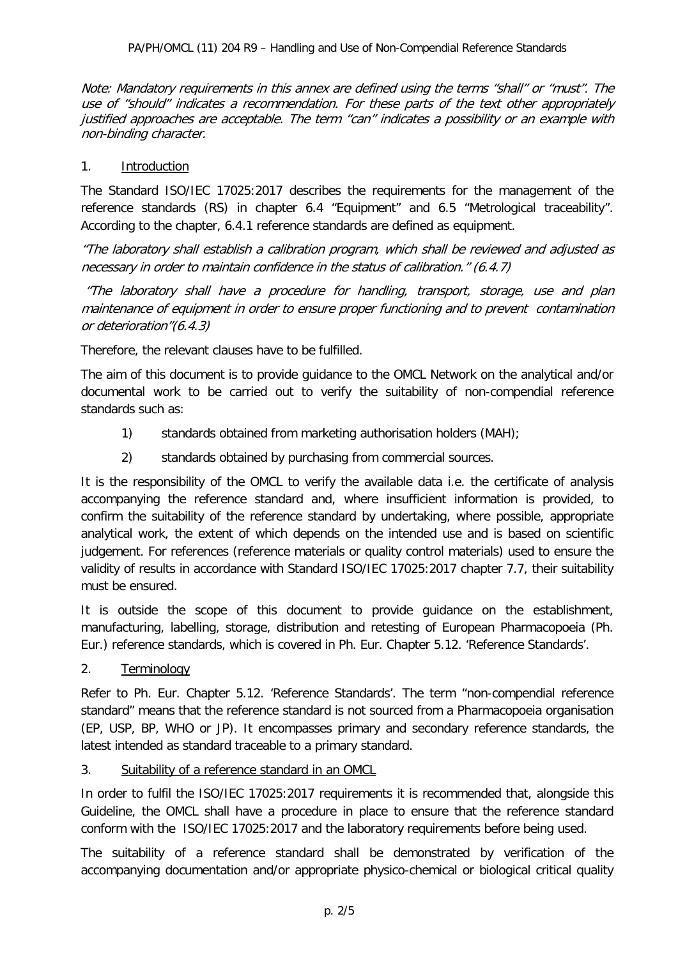Note: Mandatory requirements in this annex are defined using the terms "shall" or "must". The use of "should" indicates a recommendation. For these parts of the text other appropriately justified approaches are acceptable. The term "can" indicates a possibility or an example with non-binding character.

#### 1. Introduction

The Standard ISO/IEC 17025:2017 describes the requirements for the management of the reference standards (RS) in chapter 6.4 "Equipment" and 6.5 "Metrological traceability". According to the chapter, 6.4.1 reference standards are defined as equipment.

"The laboratory shall establish a calibration program, which shall be reviewed and adjusted as necessary in order to maintain confidence in the status of calibration." (6.4.7)

"The laboratory shall have a procedure for handling, transport, storage, use and plan maintenance of equipment in order to ensure proper functioning and to prevent contamination or deterioration"(6.4.3)

Therefore, the relevant clauses have to be fulfilled.

The aim of this document is to provide guidance to the OMCL Network on the analytical and/or documental work to be carried out to verify the suitability of non-compendial reference standards such as:

- 1) standards obtained from marketing authorisation holders (MAH);
- 2) standards obtained by purchasing from commercial sources.

It is the responsibility of the OMCL to verify the available data i.e. the certificate of analysis accompanying the reference standard and, where insufficient information is provided, to confirm the suitability of the reference standard by undertaking, where possible, appropriate analytical work, the extent of which depends on the intended use and is based on scientific judgement. For references (reference materials or quality control materials) used to ensure the validity of results in accordance with Standard ISO/IEC 17025:2017 chapter 7.7, their suitability must be ensured.

It is outside the scope of this document to provide guidance on the establishment, manufacturing, labelling, storage, distribution and retesting of European Pharmacopoeia (Ph. Eur.) reference standards, which is covered in Ph. Eur. Chapter 5.12. 'Reference Standards'.

2. Terminology

Refer to Ph. Eur. Chapter 5.12. 'Reference Standards'. The term "non-compendial reference standard" means that the reference standard is not sourced from a Pharmacopoeia organisation (EP, USP, BP, WHO or JP). It encompasses primary and secondary reference standards, the latest intended as standard traceable to a primary standard.

3. Suitability of a reference standard in an OMCL

In order to fulfil the ISO/IEC 17025:2017 requirements it is recommended that, alongside this Guideline, the OMCL shall have a procedure in place to ensure that the reference standard conform with the ISO/IEC 17025:2017 and the laboratory requirements before being used.

The suitability of a reference standard shall be demonstrated by verification of the accompanying documentation and/or appropriate physico-chemical or biological critical quality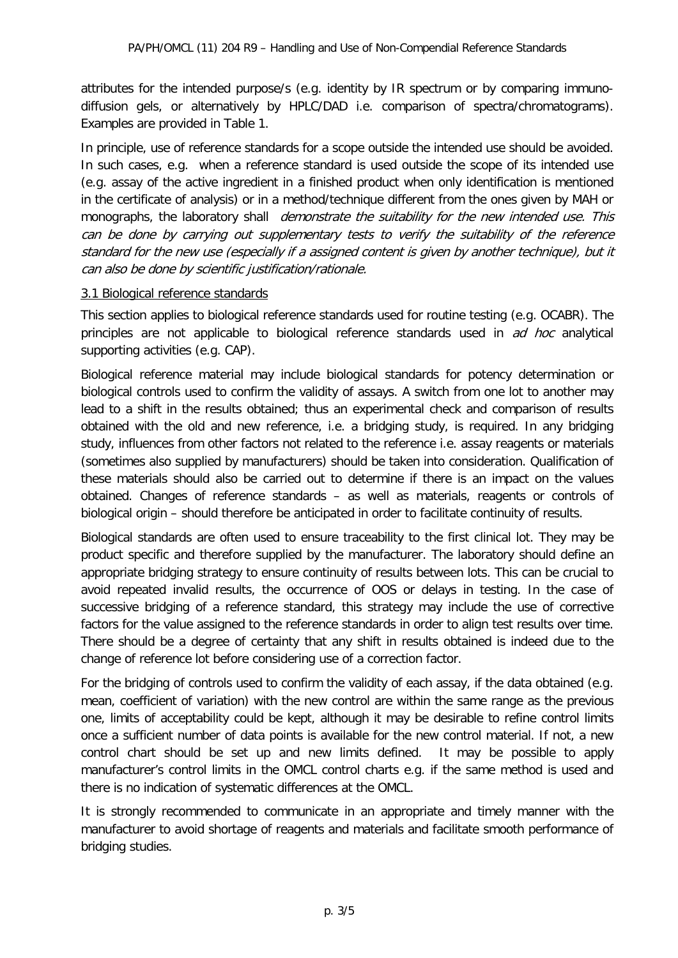attributes for the intended purpose/s (e.g. identity by IR spectrum or by comparing immunodiffusion gels, or alternatively by HPLC/DAD i.e. comparison of spectra/chromatograms). Examples are provided in Table 1.

In principle, use of reference standards for a scope outside the intended use should be avoided. In such cases, e.g. when a reference standard is used outside the scope of its intended use (e.g. assay of the active ingredient in a finished product when only identification is mentioned in the certificate of analysis) or in a method/technique different from the ones given by MAH or monographs, the laboratory shall *demonstrate the suitability for the new intended use. This* can be done by carrying out supplementary tests to verify the suitability of the reference standard for the new use (especially if a assigned content is given by another technique), but it can also be done by scientific justification/rationale.

#### 3.1 Biological reference standards

This section applies to biological reference standards used for routine testing (e.g. OCABR). The principles are not applicable to biological reference standards used in ad hoc analytical supporting activities (e.g. CAP).

Biological reference material may include biological standards for potency determination or biological controls used to confirm the validity of assays. A switch from one lot to another may lead to a shift in the results obtained; thus an experimental check and comparison of results obtained with the old and new reference, i.e. a bridging study, is required. In any bridging study, influences from other factors not related to the reference i.e. assay reagents or materials (sometimes also supplied by manufacturers) should be taken into consideration. Qualification of these materials should also be carried out to determine if there is an impact on the values obtained. Changes of reference standards – as well as materials, reagents or controls of biological origin – should therefore be anticipated in order to facilitate continuity of results.

Biological standards are often used to ensure traceability to the first clinical lot. They may be product specific and therefore supplied by the manufacturer. The laboratory should define an appropriate bridging strategy to ensure continuity of results between lots. This can be crucial to avoid repeated invalid results, the occurrence of OOS or delays in testing. In the case of successive bridging of a reference standard, this strategy may include the use of corrective factors for the value assigned to the reference standards in order to align test results over time. There should be a degree of certainty that any shift in results obtained is indeed due to the change of reference lot before considering use of a correction factor.

For the bridging of controls used to confirm the validity of each assay, if the data obtained (e.g. mean, coefficient of variation) with the new control are within the same range as the previous one, limits of acceptability could be kept, although it may be desirable to refine control limits once a sufficient number of data points is available for the new control material. If not, a new control chart should be set up and new limits defined. It may be possible to apply manufacturer's control limits in the OMCL control charts e.g. if the same method is used and there is no indication of systematic differences at the OMCL.

It is strongly recommended to communicate in an appropriate and timely manner with the manufacturer to avoid shortage of reagents and materials and facilitate smooth performance of bridging studies.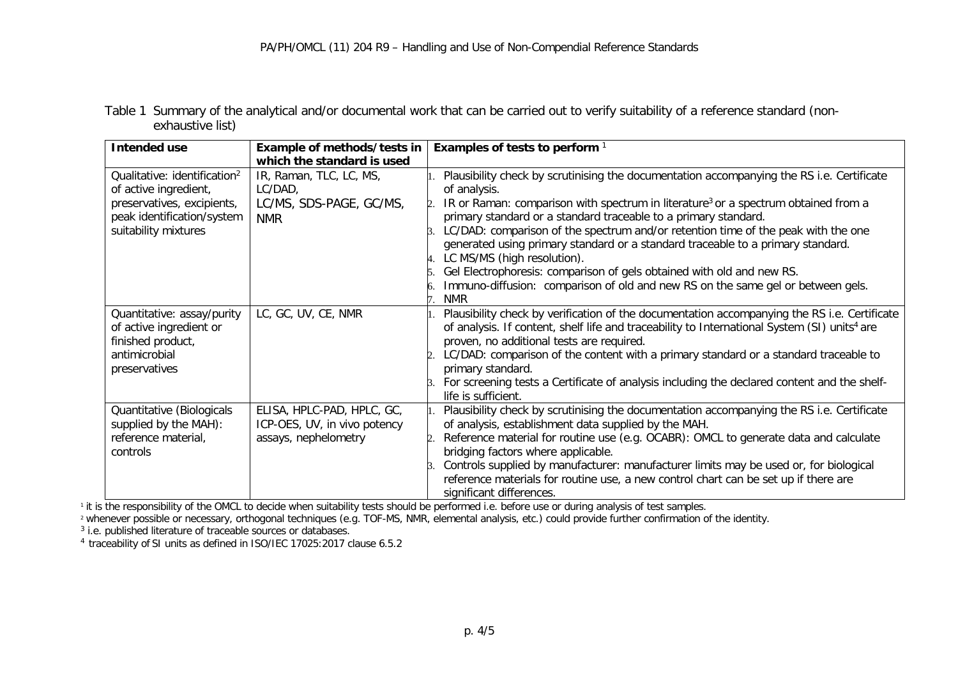Table 1 Summary of the analytical and/or documental work that can be carried out to verify suitability of a reference standard (nonexhaustive list)

| <b>Intended use</b>                                                                                                                                   | Example of methods/tests in                                                        | Examples of tests to perform <sup>1</sup>                                                                                                                                                                                                                                                                                                                                                                                                                                                                                                                                                                                                                       |
|-------------------------------------------------------------------------------------------------------------------------------------------------------|------------------------------------------------------------------------------------|-----------------------------------------------------------------------------------------------------------------------------------------------------------------------------------------------------------------------------------------------------------------------------------------------------------------------------------------------------------------------------------------------------------------------------------------------------------------------------------------------------------------------------------------------------------------------------------------------------------------------------------------------------------------|
|                                                                                                                                                       | which the standard is used                                                         |                                                                                                                                                                                                                                                                                                                                                                                                                                                                                                                                                                                                                                                                 |
| Qualitative: identification <sup>2</sup><br>of active ingredient,<br>preservatives, excipients,<br>peak identification/system<br>suitability mixtures | IR, Raman, TLC, LC, MS,<br>LC/DAD,<br>LC/MS, SDS-PAGE, GC/MS,<br><b>NMR</b>        | Plausibility check by scrutinising the documentation accompanying the RS i.e. Certificate<br>of analysis.<br>IR or Raman: comparison with spectrum in literature <sup>3</sup> or a spectrum obtained from a<br>primary standard or a standard traceable to a primary standard.<br>LC/DAD: comparison of the spectrum and/or retention time of the peak with the one<br>generated using primary standard or a standard traceable to a primary standard.<br>LC MS/MS (high resolution).<br>Gel Electrophoresis: comparison of gels obtained with old and new RS.<br>Immuno-diffusion: comparison of old and new RS on the same gel or between gels.<br><b>NMR</b> |
| Quantitative: assay/purity<br>of active ingredient or<br>finished product,<br>antimicrobial<br>preservatives                                          | LC, GC, UV, CE, NMR                                                                | Plausibility check by verification of the documentation accompanying the RS i.e. Certificate<br>of analysis. If content, shelf life and traceability to International System (SI) units <sup>4</sup> are<br>proven, no additional tests are required.<br>LC/DAD: comparison of the content with a primary standard or a standard traceable to<br>primary standard.<br>For screening tests a Certificate of analysis including the declared content and the shelf-<br>life is sufficient.                                                                                                                                                                        |
| Quantitative (Biologicals<br>supplied by the MAH):<br>reference material,<br>controls                                                                 | ELISA, HPLC-PAD, HPLC, GC,<br>ICP-OES, UV, in vivo potency<br>assays, nephelometry | Plausibility check by scrutinising the documentation accompanying the RS i.e. Certificate<br>of analysis, establishment data supplied by the MAH.<br>Reference material for routine use (e.g. OCABR): OMCL to generate data and calculate<br>bridging factors where applicable.<br>Controls supplied by manufacturer: manufacturer limits may be used or, for biological<br>reference materials for routine use, a new control chart can be set up if there are<br>significant differences.                                                                                                                                                                     |

<sup>1</sup> it is the responsibility of the OMCL to decide when suitability tests should be performed i.e. before use or during analysis of test samples.

<sup>2</sup> whenever possible or necessary, orthogonal techniques (e.g. TOF-MS, NMR, elemental analysis, etc.) could provide further confirmation of the identity.

<sup>3</sup> i.e. published literature of traceable sources or databases. 4 traceability of SI units as defined in ISO/IEC 17025:2017 clause 6.5.2